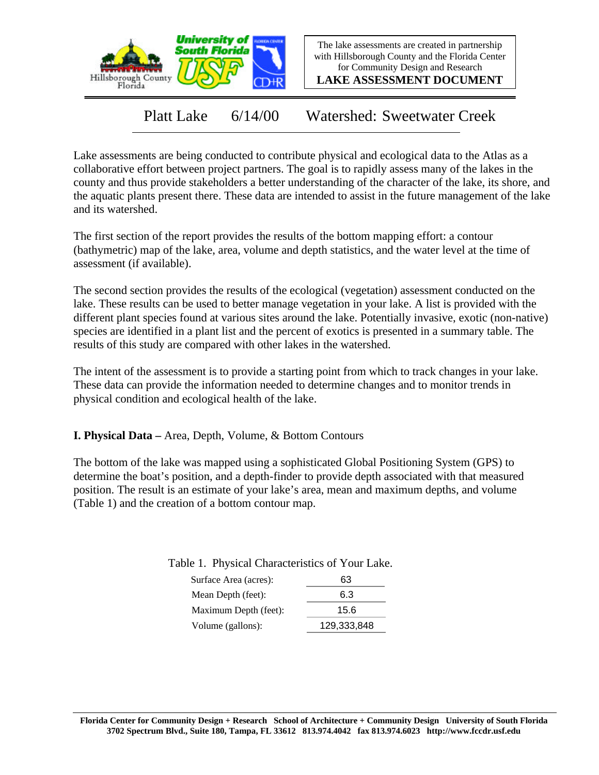

The lake assessments are created in partnership with Hillsborough County and the Florida Center for Community Design and Research

**LAKE ASSESSMENT DOCUMENT**

Platt Lake 6/14/00 Watershed: Sweetwater Creek

Lake assessments are being conducted to contribute physical and ecological data to the Atlas as a collaborative effort between project partners. The goal is to rapidly assess many of the lakes in the county and thus provide stakeholders a better understanding of the character of the lake, its shore, and the aquatic plants present there. These data are intended to assist in the future management of the lake and its watershed.

The first section of the report provides the results of the bottom mapping effort: a contour (bathymetric) map of the lake, area, volume and depth statistics, and the water level at the time of assessment (if available).

The second section provides the results of the ecological (vegetation) assessment conducted on the lake. These results can be used to better manage vegetation in your lake. A list is provided with the different plant species found at various sites around the lake. Potentially invasive, exotic (non-native) species are identified in a plant list and the percent of exotics is presented in a summary table. The results of this study are compared with other lakes in the watershed.

The intent of the assessment is to provide a starting point from which to track changes in your lake. These data can provide the information needed to determine changes and to monitor trends in physical condition and ecological health of the lake.

**I. Physical Data –** Area, Depth, Volume, & Bottom Contours

The bottom of the lake was mapped using a sophisticated Global Positioning System (GPS) to determine the boat's position, and a depth-finder to provide depth associated with that measured position. The result is an estimate of your lake's area, mean and maximum depths, and volume (Table 1) and the creation of a bottom contour map.

Table 1. Physical Characteristics of Your Lake.

| Surface Area (acres): | 63          |
|-----------------------|-------------|
| Mean Depth (feet):    | 6.3         |
| Maximum Depth (feet): | 15.6        |
| Volume (gallons):     | 129,333,848 |
|                       |             |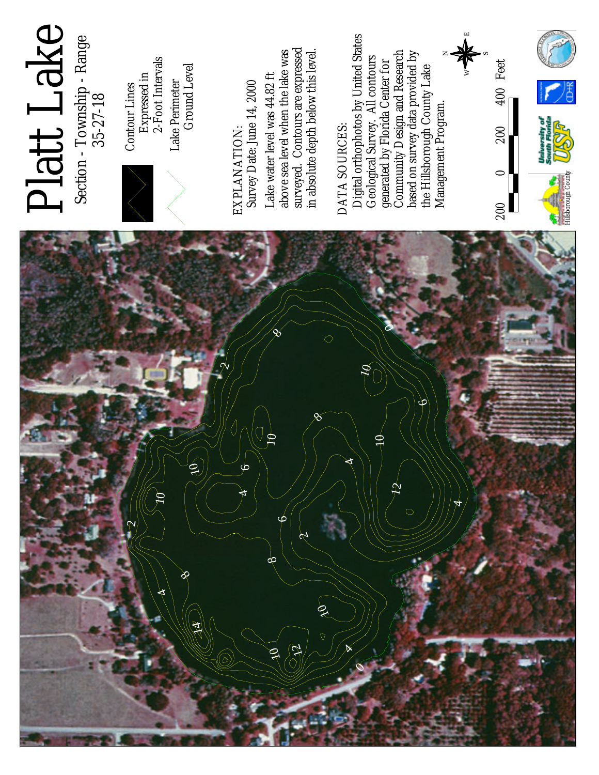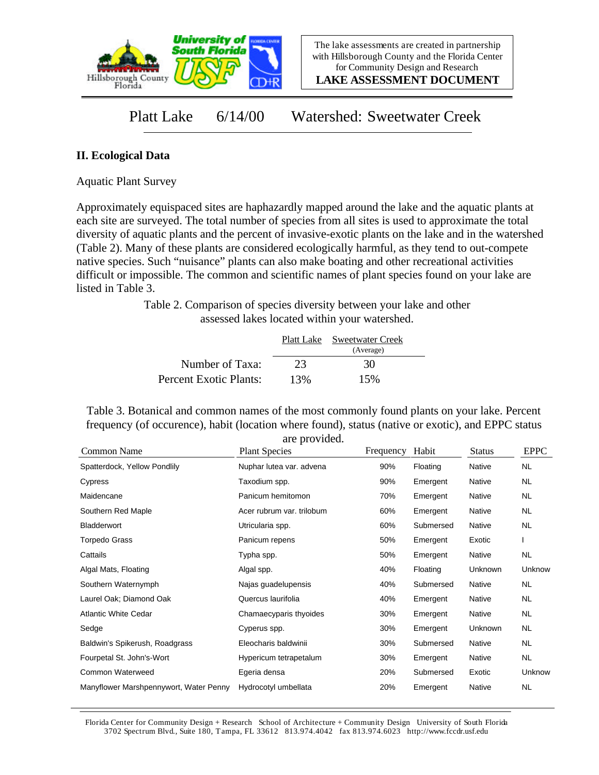

**LAKE ASSESSMENT DOCUMENT**

## Platt Lake 6/14/00 Watershed: Sweetwater Creek

## **II. Ecological Data**

Aquatic Plant Survey

Approximately equispaced sites are haphazardly mapped around the lake and the aquatic plants at each site are surveyed. The total number of species from all sites is used to approximate the total diversity of aquatic plants and the percent of invasive-exotic plants on the lake and in the watershed (Table 2). Many of these plants are considered ecologically harmful, as they tend to out-compete native species. Such "nuisance" plants can also make boating and other recreational activities difficult or impossible. The common and scientific names of plant species found on your lake are listed in Table 3.

> Table 2. Comparison of species diversity between your lake and other assessed lakes located within your watershed.

|                        |     | Platt Lake Sweetwater Creek |
|------------------------|-----|-----------------------------|
|                        |     | (Average)                   |
| Number of Taxa:        | 23  | 30                          |
| Percent Exotic Plants: | 13% | 15%                         |

Table 3. Botanical and common names of the most commonly found plants on your lake. Percent frequency (of occurence), habit (location where found), status (native or exotic), and EPPC status are provided.

| Common Name                            | <b>Plant Species</b>      | Frequency | Habit     | <b>Status</b>  | <b>EPPC</b> |
|----------------------------------------|---------------------------|-----------|-----------|----------------|-------------|
| Spatterdock, Yellow Pondlily           | Nuphar lutea var. advena  | 90%       | Floating  | Native         | <b>NL</b>   |
| Cypress                                | Taxodium spp.             | 90%       | Emergent  | Native         | NL.         |
| Maidencane                             | Panicum hemitomon         | 70%       | Emergent  | Native         | NL.         |
| Southern Red Maple                     | Acer rubrum var. trilobum | 60%       | Emergent  | Native         | NL.         |
| <b>Bladderwort</b>                     | Utricularia spp.          | 60%       | Submersed | Native         | <b>NL</b>   |
| Torpedo Grass                          | Panicum repens            | 50%       | Emergent  | Exotic         |             |
| Cattails                               | Typha spp.                | 50%       | Emergent  | Native         | NL          |
| Algal Mats, Floating                   | Algal spp.                | 40%       | Floating  | <b>Unknown</b> | Unknow      |
| Southern Waternymph                    | Najas guadelupensis       | 40%       | Submersed | Native         | NL.         |
| Laurel Oak; Diamond Oak                | Quercus laurifolia        | 40%       | Emergent  | Native         | NL.         |
| <b>Atlantic White Cedar</b>            | Chamaecyparis thyoides    | 30%       | Emergent  | Native         | <b>NL</b>   |
| Sedge                                  | Cyperus spp.              | 30%       | Emergent  | Unknown        | NL.         |
| Baldwin's Spikerush, Roadgrass         | Eleocharis baldwinii      | 30%       | Submersed | Native         | NL.         |
| Fourpetal St. John's-Wort              | Hypericum tetrapetalum    | 30%       | Emergent  | Native         | <b>NL</b>   |
| Common Waterweed                       | Egeria densa              | 20%       | Submersed | Exotic         | Unknow      |
| Manyflower Marshpennywort, Water Penny | Hydrocotyl umbellata      | 20%       | Emergent  | Native         | <b>NL</b>   |

Florida Center for Community Design + Research School of Architecture + Community Design University of South Florida 3702 Spectrum Blvd., Suite 180, Tampa, FL 33612 813.974.4042 fax 813.974.6023 http://www.fccdr.usf.edu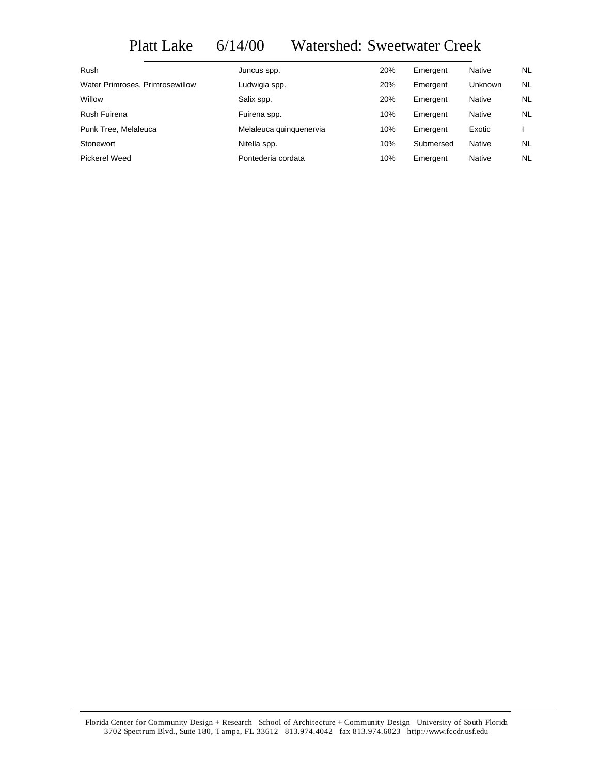## Platt Lake 6/14/00 Watershed: Sweetwater Creek

| Rush                            | Juncus spp.             | 20% | Emergent  | <b>Native</b> | NL.       |
|---------------------------------|-------------------------|-----|-----------|---------------|-----------|
| Water Primroses, Primrosewillow | Ludwigia spp.           | 20% | Emergent  | Unknown       | NL.       |
| Willow                          | Salix spp.              | 20% | Emergent  | Native        | NL.       |
| Rush Fuirena                    | Fuirena spp.            | 10% | Emergent  | Native        | NL.       |
| Punk Tree, Melaleuca            | Melaleuca guinguenervia | 10% | Emergent  | Exotic        |           |
| Stonewort                       | Nitella spp.            | 10% | Submersed | Native        | NL.       |
| Pickerel Weed                   | Pontederia cordata      | 10% | Emergent  | Native        | <b>NL</b> |

Florida Center for Community Design + Research School of Architecture + Community Design University of South Florida 3702 Spectrum Blvd., Suite 180, Tampa, FL 33612 813.974.4042 fax 813.974.6023 http://www.fccdr.usf.edu